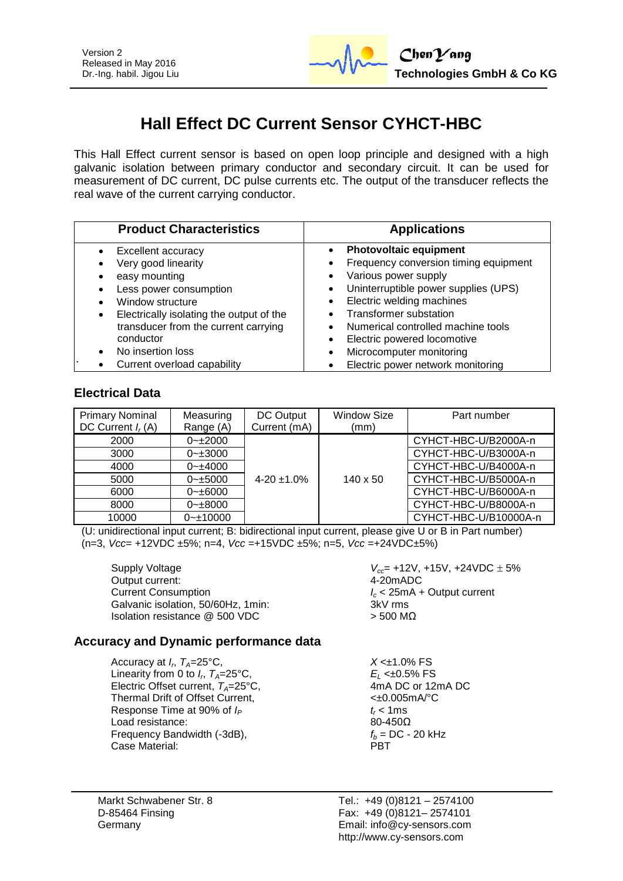

# **Hall Effect DC Current Sensor CYHCT-HBC**

This Hall Effect current sensor is based on open loop principle and designed with a high galvanic isolation between primary conductor and secondary circuit. It can be used for measurement of DC current, DC pulse currents etc. The output of the transducer reflects the real wave of the current carrying conductor.

| <b>Product Characteristics</b>           | <b>Applications</b>                               |  |  |
|------------------------------------------|---------------------------------------------------|--|--|
| Excellent accuracy                       | <b>Photovoltaic equipment</b>                     |  |  |
| Very good linearity                      | Frequency conversion timing equipment<br>٠        |  |  |
| easy mounting                            | Various power supply<br>$\bullet$                 |  |  |
| Less power consumption                   | Uninterruptible power supplies (UPS)<br>$\bullet$ |  |  |
| Window structure                         | Electric welding machines<br>$\bullet$            |  |  |
| Electrically isolating the output of the | <b>Transformer substation</b>                     |  |  |
| transducer from the current carrying     | Numerical controlled machine tools                |  |  |
| conductor                                | Electric powered locomotive<br>$\bullet$          |  |  |
| No insertion loss                        | Microcomputer monitoring<br>$\bullet$             |  |  |
| Current overload capability              | Electric power network monitoring                 |  |  |

# **Electrical Data**

| <b>Primary Nominal</b><br>DC Current $I_r(A)$ | Measuring<br>Range (A) | DC Output<br>Current (mA) | <b>Window Size</b><br>(mm) | Part number           |
|-----------------------------------------------|------------------------|---------------------------|----------------------------|-----------------------|
| 2000                                          | $0 - 2000$             |                           |                            | CYHCT-HBC-U/B2000A-n  |
| 3000                                          | $0 - 3000$             |                           |                            | CYHCT-HBC-U/B3000A-n  |
| 4000                                          | $0 - \pm 4000$         |                           |                            | CYHCT-HBC-U/B4000A-n  |
| 5000                                          | $0 - \pm 5000$         | $4-20 \pm 1.0\%$          | $140 \times 50$            | CYHCT-HBC-U/B5000A-n  |
| 6000                                          | $0 - \pm 6000$         |                           |                            | CYHCT-HBC-U/B6000A-n  |
| 8000                                          | $0 - \pm 8000$         |                           |                            | CYHCT-HBC-U/B8000A-n  |
| 10000                                         | $0 - 10000$            |                           |                            | CYHCT-HBC-U/B10000A-n |

(U: unidirectional input current; B: bidirectional input current, please give U or B in Part number) (n=3, *Vcc*= +12VDC ±5%; n=4, *Vcc* =+15VDC ±5%; n=5, *Vcc* =+24VDC±5%)

Supply Voltage *V*<sub>cc</sub>= +12V, +15V, +24VDC  $\pm$  5% Output current: Output current: Current Consumption<br>
Galvanic isolation. 50/60Hz. 1min:<br>
Galvanic isolation. 50/60Hz. 1min:<br>
3kV rms Galvanic isolation, 50/60Hz, 1min: Isolation resistance  $@$  500 VDC  $>$  500 MΩ

## **Accuracy and Dynamic performance data**

Accuracy at *I<sup>r</sup>* , *TA*=25°C, *X* <±1.0% FS Linearity from 0 to  $I_r$ ,  $T_A = 25^\circ \text{C}$ , Electric Offset current,  $T_A = 25^{\circ}C$ , Thermal Drift of Offset Current,  $\leftarrow 0.005 \text{mA}^{\circ}\text{C}$ Response Time at 90% of  $I_P$   $t_r < 1 \text{ ms}$ <br>Load resistance: 80-450 $\Omega$ Load resistance: Frequency Bandwidth (-3dB),  $f_b = DC - 20 \text{ kHz}$ <br>Case Material: **PBT** Case Material:

E<sub>L</sub> <±0.5% FS<br>4mA DC or 12mA DC